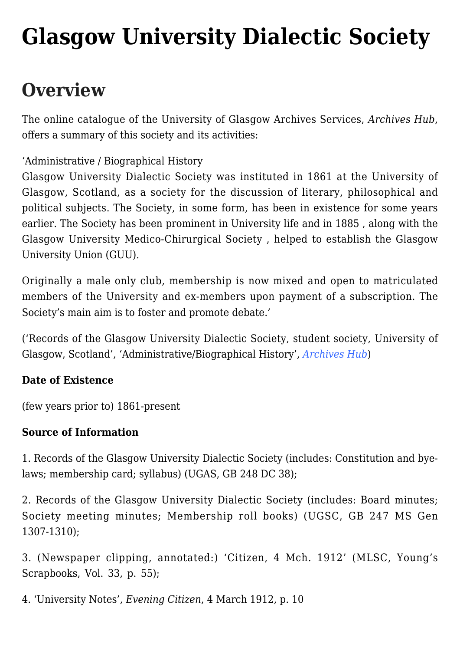# **[Glasgow University Dialectic Society](https://www.glasgowsliterarybonds.org/societies/glasgow-university-dialectic-society/)**

# **Overview**

The online catalogue of the University of Glasgow Archives Services, *Archives Hub*, offers a summary of this society and its activities:

'Administrative / Biographical History

Glasgow University Dialectic Society was instituted in 1861 at the University of Glasgow, Scotland, as a society for the discussion of literary, philosophical and political subjects. The Society, in some form, has been in existence for some years earlier. The Society has been prominent in University life and in 1885 , along with the Glasgow University Medico-Chirurgical Society , helped to establish the Glasgow University Union (GUU).

Originally a male only club, membership is now mixed and open to matriculated members of the University and ex-members upon payment of a subscription. The Society's main aim is to foster and promote debate.'

('Records of the Glasgow University Dialectic Society, student society, University of Glasgow, Scotland', 'Administrative/Biographical History', *[Archives Hub](https://archiveshub.jisc.ac.uk/search/archives/58eb698d-121d-3187-991a-cd75b534575a?terms=university%20of%20glasgow%20dialectic)*)

### **Date of Existence**

(few years prior to) 1861-present

#### **Source of Information**

1. Records of the Glasgow University Dialectic Society (includes: Constitution and byelaws; membership card; syllabus) (UGAS, GB 248 DC 38);

2. Records of the Glasgow University Dialectic Society (includes: Board minutes; Society meeting minutes; Membership roll books) (UGSC, GB 247 MS Gen 1307-1310);

3. (Newspaper clipping, annotated:) 'Citizen, 4 Mch. 1912' (MLSC, Young's Scrapbooks, Vol. 33, p. 55);

4. 'University Notes', *Evening Citizen*, 4 March 1912, p. 10